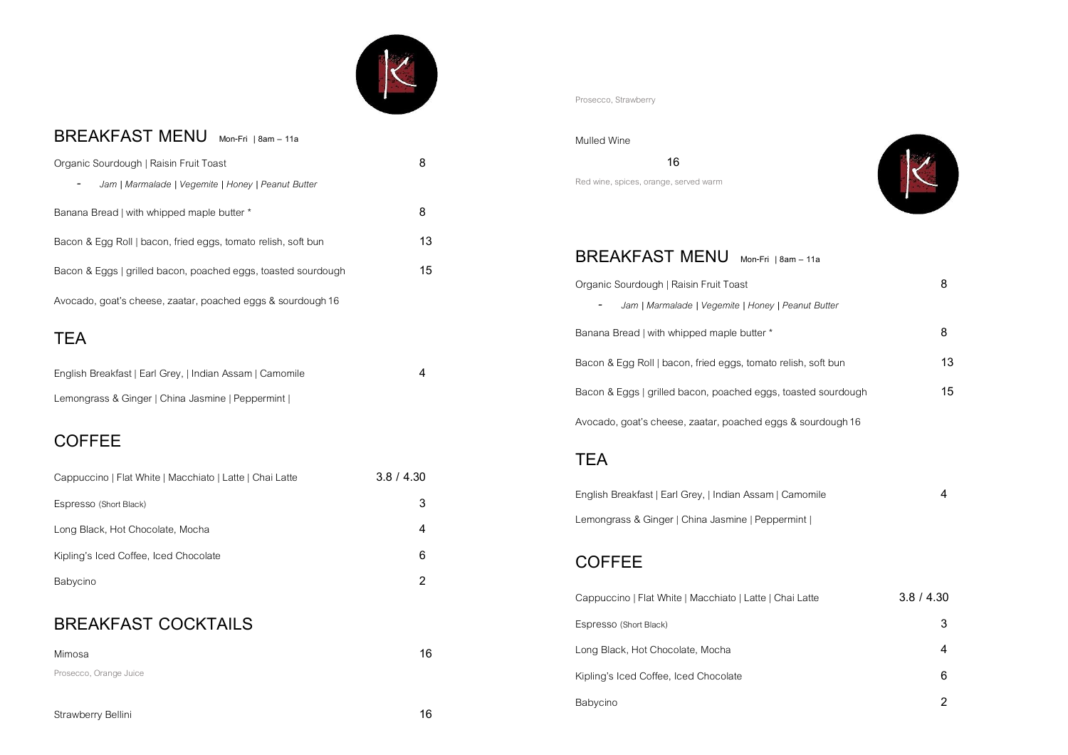# 

## **BREAKFAST MENU Mon-Fri | 8am – 11a**

| Organic Sourdough   Raisin Fruit Toast                        | 8  |
|---------------------------------------------------------------|----|
| Jam   Marmalade   Vegemite   Honey   Peanut Butter            |    |
| Banana Bread   with whipped maple butter *                    | 8  |
| Bacon & Egg Roll   bacon, fried eggs, tomato relish, soft bun | 13 |
| Bacon & Eggs   grilled bacon, poached eggs, toasted sourdough | 15 |
| Avocado, goat's cheese, zaatar, poached eggs & sourdough 16   |    |

# **TEA**

| English Breakfast   Earl Grey,   Indian Assam   Camomile |  |
|----------------------------------------------------------|--|
| Lemongrass & Ginger   China Jasmine   Peppermint         |  |

# **COFFEE**

| Cappuccino   Flat White   Macchiato   Latte   Chai Latte | 3.8 / 4.30 |
|----------------------------------------------------------|------------|
| Espresso (Short Black)                                   |            |
| Long Black, Hot Chocolate, Mocha                         |            |
| Kipling's Iced Coffee, Iced Chocolate                    | 6          |
| Babycino                                                 |            |

## **BREAKFAST COCKTAILS**

| Mimosa                 | 16 |
|------------------------|----|
| Prosecco, Orange Juice |    |

Prosecco, Strawberry

#### Mulled Wine

 **16** Red wine, spices, orange, served warm



### **BREAKFAST MENU Mon-Fri | 8am – 11a**

| Organic Sourdough   Raisin Fruit Toast                        | 8  |
|---------------------------------------------------------------|----|
| Jam   Marmalade   Vegemite   Honey   Peanut Butter            |    |
| Banana Bread   with whipped maple butter *                    | 8  |
| Bacon & Egg Roll   bacon, fried eggs, tomato relish, soft bun | 13 |
| Bacon & Eggs   grilled bacon, poached eggs, toasted sourdough | 15 |
| Avocado, goat's cheese, zaatar, poached eggs & sourdough 16   |    |

## **TEA**

| English Breakfast   Earl Grey,   Indian Assam   Camomile |  |
|----------------------------------------------------------|--|
| Lemongrass & Ginger   China Jasmine   Peppermint         |  |

## **COFFEE**

| Cappuccino   Flat White   Macchiato   Latte   Chai Latte | 3.8 / 4.30 |
|----------------------------------------------------------|------------|
| Espresso (Short Black)                                   | 3          |
| Long Black, Hot Chocolate, Mocha                         |            |
| Kipling's Iced Coffee, Iced Chocolate                    | 6          |
| Babycino                                                 |            |